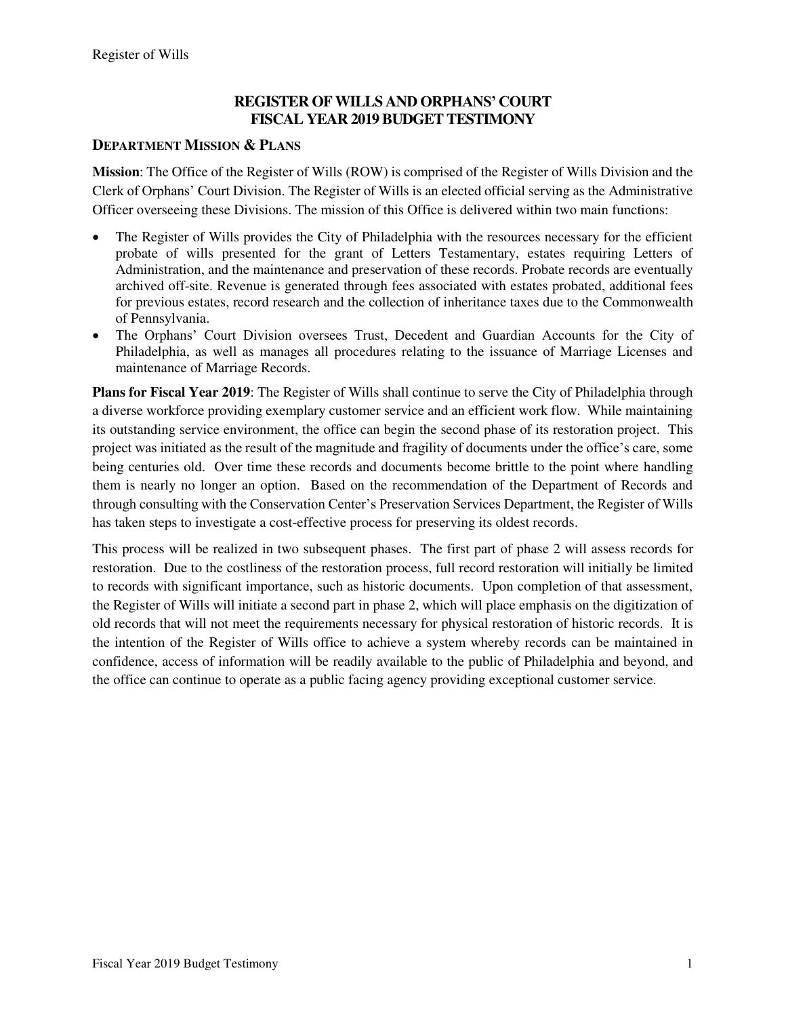### **REGISTER OF WILLS AND ORPHANS' COURT FISCAL YEAR 2019 BUDGET TESTIMONY**

### **DEPARTMENT MISSION & PLANS**

**Mission**: The Office of the Register of Wills (ROW) is comprised of the Register of Wills Division and the Clerk of Orphans' Court Division. The Register of Wills is an elected official serving as the Administrative Officer overseeing these Divisions. The mission of this Office is delivered within two main functions:

- The Register of Wills provides the City of Philadelphia with the resources necessary for the efficient probate of wills presented for the grant of Letters Testamentary, estates requiring Letters of Administration, and the maintenance and preservation of these records. Probate records are eventually archived off-site. Revenue is generated through fees associated with estates probated, additional fees for previous estates, record research and the collection of inheritance taxes due to the Commonwealth of Pennsylvania.
- The Orphans' Court Division oversees Trust, Decedent and Guardian Accounts for the City of Philadelphia, as well as manages all procedures relating to the issuance of Marriage Licenses and maintenance of Marriage Records.

**Plans for Fiscal Year 2019**: The Register of Wills shall continue to serve the City of Philadelphia through a diverse workforce providing exemplary customer service and an efficient work flow. While maintaining its outstanding service environment, the office can begin the second phase of its restoration project. This project was initiated as the result of the magnitude and fragility of documents under the office's care, some being centuries old. Over time these records and documents become brittle to the point where handling them is nearly no longer an option. Based on the recommendation of the Department of Records and through consulting with the Conservation Center's Preservation Services Department, the Register of Wills has taken steps to investigate a cost-effective process for preserving its oldest records.

This process will be realized in two subsequent phases. The first part of phase 2 will assess records for restoration. Due to the costliness of the restoration process, full record restoration will initially be limited to records with significant importance, such as historic documents. Upon completion of that assessment, the Register of Wills will initiate a second part in phase 2, which will place emphasis on the digitization of old records that will not meet the requirements necessary for physical restoration of historic records. It is the intention of the Register of Wills office to achieve a system whereby records can be maintained in confidence, access of information will be readily available to the public of Philadelphia and beyond, and the office can continue to operate as a public facing agency providing exceptional customer service.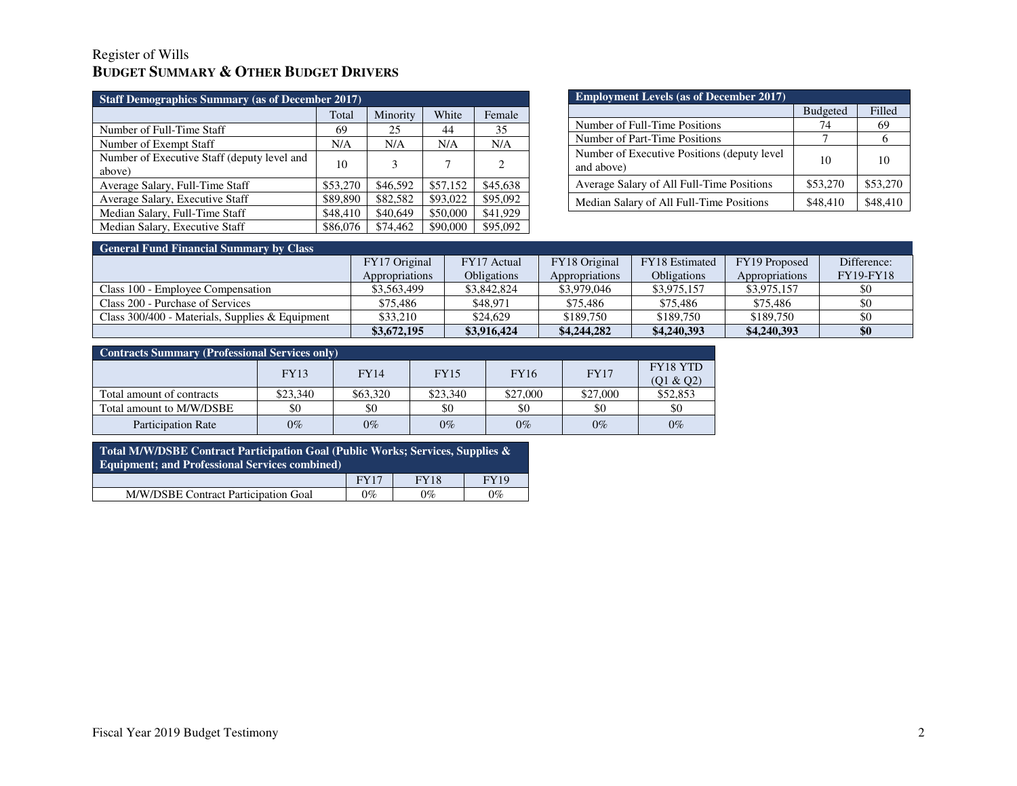### Register of Wills **BUDGET SUMMARY & OTHER BUDGET DRIVERS**

| <b>Staff Demographics Summary (as of December 2017)</b> |          |          |          |                             |  |  |  |  |  |
|---------------------------------------------------------|----------|----------|----------|-----------------------------|--|--|--|--|--|
|                                                         | Total    | Minority | White    | Female                      |  |  |  |  |  |
| Number of Full-Time Staff                               | 69       | 25       | 44       | 35                          |  |  |  |  |  |
| Number of Exempt Staff                                  | N/A      | N/A      | N/A      | N/A                         |  |  |  |  |  |
| Number of Executive Staff (deputy level and<br>above)   | 10       | 3        | 7        | $\mathcal{D}_{\mathcal{L}}$ |  |  |  |  |  |
| Average Salary, Full-Time Staff                         | \$53,270 | \$46,592 | \$57,152 | \$45,638                    |  |  |  |  |  |
| Average Salary, Executive Staff                         | \$89,890 | \$82,582 | \$93,022 | \$95,092                    |  |  |  |  |  |
| Median Salary, Full-Time Staff                          | \$48,410 | \$40,649 | \$50,000 | \$41,929                    |  |  |  |  |  |
| Median Salary, Executive Staff                          | \$86,076 | \$74,462 | \$90,000 | \$95,092                    |  |  |  |  |  |

| <b>Employment Levels (as of December 2017)</b>             |                 |              |  |  |  |  |  |  |
|------------------------------------------------------------|-----------------|--------------|--|--|--|--|--|--|
|                                                            | <b>Budgeted</b> | Filled       |  |  |  |  |  |  |
| Number of Full-Time Positions                              | 74              | 69           |  |  |  |  |  |  |
| Number of Part-Time Positions                              |                 | <sub>(</sub> |  |  |  |  |  |  |
| Number of Executive Positions (deputy level)<br>and above) | 10              | 10           |  |  |  |  |  |  |
| Average Salary of All Full-Time Positions                  | \$53,270        | \$53,270     |  |  |  |  |  |  |
| Median Salary of All Full-Time Positions                   | \$48,410        | \$48,410     |  |  |  |  |  |  |

# **General Fund Financial Summary by Class**

|                                                   | FY17 Original  | FY17 Actual        | FY18 Original  | <b>FY18</b> Estimated | FY19 Proposed  | Difference:      |
|---------------------------------------------------|----------------|--------------------|----------------|-----------------------|----------------|------------------|
|                                                   | Appropriations | <b>Obligations</b> | Appropriations | <b>Obligations</b>    | Appropriations | <b>FY19-FY18</b> |
| Class 100 - Employee Compensation                 | \$3,563,499    | \$3,842,824        | \$3,979,046    | \$3,975,157           | \$3,975,157    |                  |
| Class 200 - Purchase of Services                  | \$75.486       | \$48.971           | \$75,486       | \$75,486              | \$75,486       | \$0              |
| Class $300/400$ - Materials, Supplies & Equipment | \$33,210       | \$24.629           | \$189,750      | \$189,750             | \$189,750      |                  |
|                                                   | \$3,672,195    | \$3,916,424        | \$4,244,282    | \$4,240,393           | \$4,240,393    | \$0              |

| <b>Contracts Summary (Professional Services only)</b> |             |          |             |             |             |                       |  |  |  |
|-------------------------------------------------------|-------------|----------|-------------|-------------|-------------|-----------------------|--|--|--|
|                                                       | <b>FY13</b> | FY14     | <b>FY15</b> | <b>FY16</b> | <b>FY17</b> | FY18 YTD<br>(Q1 & Q2) |  |  |  |
| Total amount of contracts                             | \$23,340    | \$63,320 | \$23,340    | \$27,000    | \$27,000    | \$52,853              |  |  |  |
| Total amount to M/W/DSBE                              | \$0         | \$0      | \$0         | \$0         | \$0         | \$0                   |  |  |  |
| <b>Participation Rate</b>                             | $0\%$       | $0\%$    | $0\%$       | $0\%$       | $0\%$       | $0\%$                 |  |  |  |

| Total M/W/DSBE Contract Participation Goal (Public Works; Services, Supplies &<br><b>Equipment: and Professional Services combined)</b> |             |             |             |  |  |  |  |
|-----------------------------------------------------------------------------------------------------------------------------------------|-------------|-------------|-------------|--|--|--|--|
|                                                                                                                                         | <b>FY17</b> | <b>FY18</b> | <b>FY19</b> |  |  |  |  |
| M/W/DSBE Contract Participation Goal                                                                                                    | $0\%$       | $0\%$       | $0\%$       |  |  |  |  |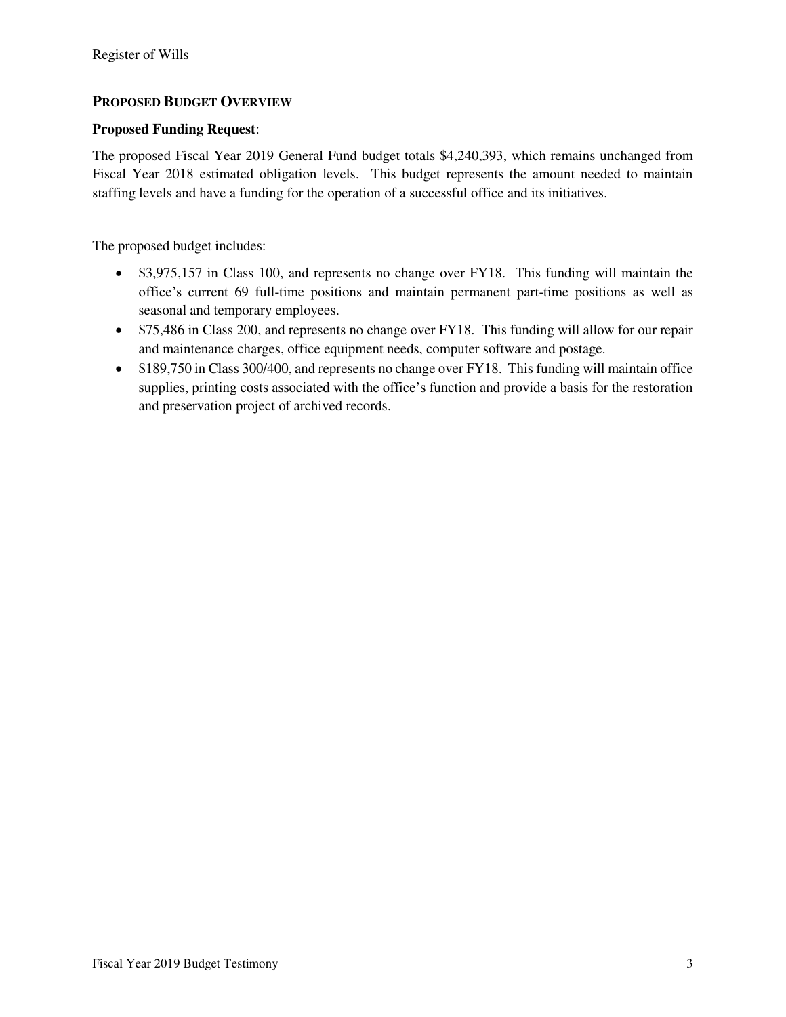### **PROPOSED BUDGET OVERVIEW**

#### **Proposed Funding Request**:

The proposed Fiscal Year 2019 General Fund budget totals \$4,240,393, which remains unchanged from Fiscal Year 2018 estimated obligation levels. This budget represents the amount needed to maintain staffing levels and have a funding for the operation of a successful office and its initiatives.

The proposed budget includes:

- \$3,975,157 in Class 100, and represents no change over FY18. This funding will maintain the office's current 69 full-time positions and maintain permanent part-time positions as well as seasonal and temporary employees.
- \$75,486 in Class 200, and represents no change over FY18. This funding will allow for our repair and maintenance charges, office equipment needs, computer software and postage.
- \$189,750 in Class 300/400, and represents no change over FY18. This funding will maintain office supplies, printing costs associated with the office's function and provide a basis for the restoration and preservation project of archived records.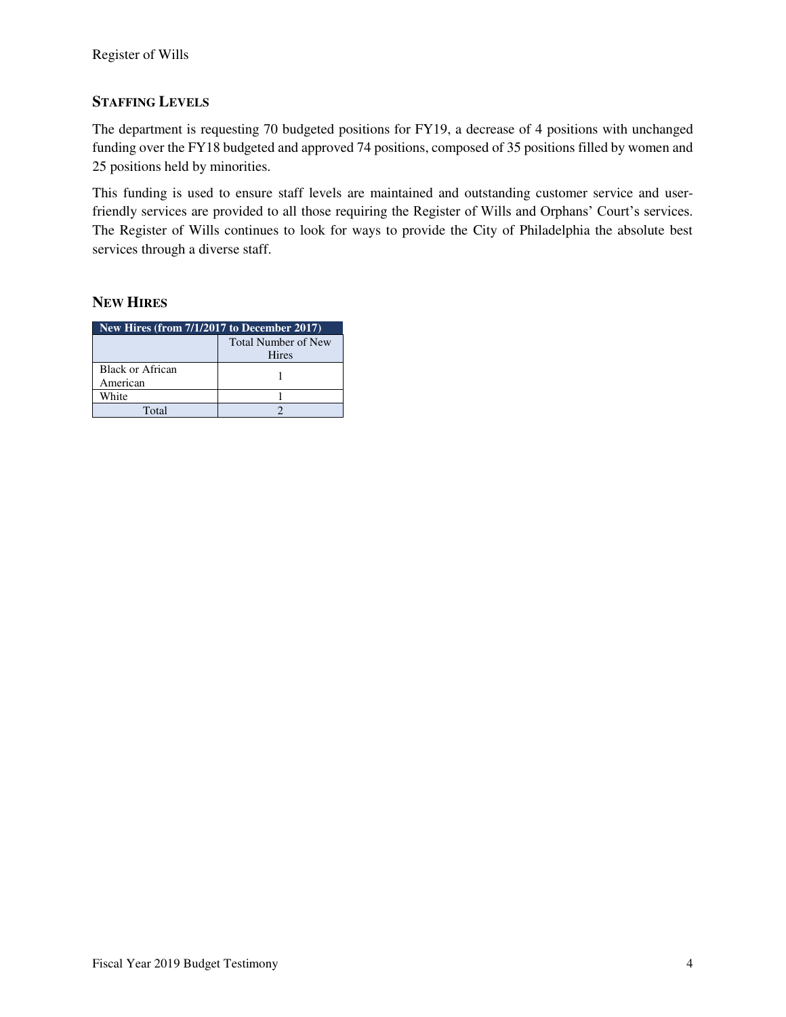### **STAFFING LEVELS**

The department is requesting 70 budgeted positions for FY19, a decrease of 4 positions with unchanged funding over the FY18 budgeted and approved 74 positions, composed of 35 positions filled by women and 25 positions held by minorities.

This funding is used to ensure staff levels are maintained and outstanding customer service and userfriendly services are provided to all those requiring the Register of Wills and Orphans' Court's services. The Register of Wills continues to look for ways to provide the City of Philadelphia the absolute best services through a diverse staff.

#### **NEW HIRES**

| New Hires (from $7/1/2017$ to December 2017) |                                            |  |  |  |  |  |  |
|----------------------------------------------|--------------------------------------------|--|--|--|--|--|--|
|                                              | <b>Total Number of New</b><br><b>Hires</b> |  |  |  |  |  |  |
| Black or African<br>American                 |                                            |  |  |  |  |  |  |
| White                                        |                                            |  |  |  |  |  |  |
| Total                                        |                                            |  |  |  |  |  |  |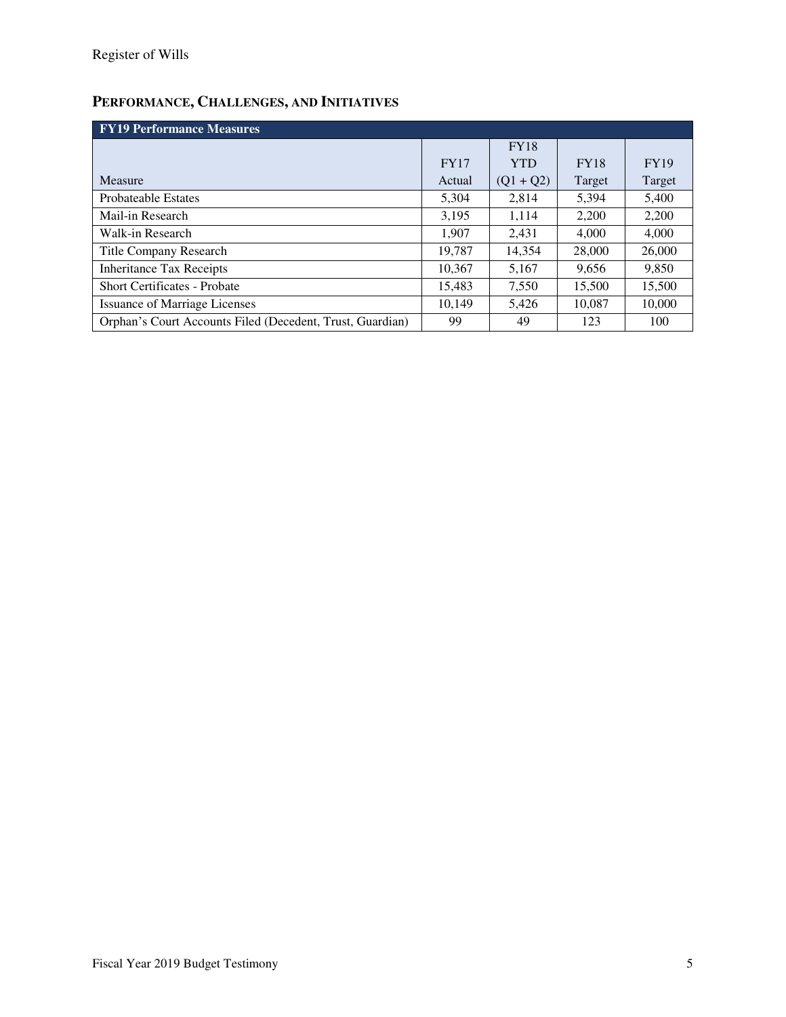## **PERFORMANCE, CHALLENGES, AND INITIATIVES**

| <b>FY19 Performance Measures</b>                          |             |             |             |             |  |  |  |  |  |
|-----------------------------------------------------------|-------------|-------------|-------------|-------------|--|--|--|--|--|
|                                                           |             | <b>FY18</b> |             |             |  |  |  |  |  |
|                                                           | <b>FY17</b> | <b>YTD</b>  | <b>FY18</b> | <b>FY19</b> |  |  |  |  |  |
| Measure                                                   | Actual      | $(Q1 + Q2)$ | Target      | Target      |  |  |  |  |  |
| <b>Probateable Estates</b>                                | 5,304       | 2,814       | 5,394       | 5,400       |  |  |  |  |  |
| Mail-in Research                                          | 3,195       | 1,114       | 2,200       | 2.200       |  |  |  |  |  |
| Walk-in Research                                          | 1.907       | 2.431       | 4.000       | 4.000       |  |  |  |  |  |
| <b>Title Company Research</b>                             | 19.787      | 14,354      | 28,000      | 26,000      |  |  |  |  |  |
| <b>Inheritance Tax Receipts</b>                           | 10.367      | 5,167       | 9,656       | 9,850       |  |  |  |  |  |
| <b>Short Certificates - Probate</b>                       | 15.483      | 7,550       | 15,500      | 15,500      |  |  |  |  |  |
| <b>Issuance of Marriage Licenses</b>                      | 10.149      | 5,426       | 10,087      | 10,000      |  |  |  |  |  |
| Orphan's Court Accounts Filed (Decedent, Trust, Guardian) | 99          | 49          | 123         | 100         |  |  |  |  |  |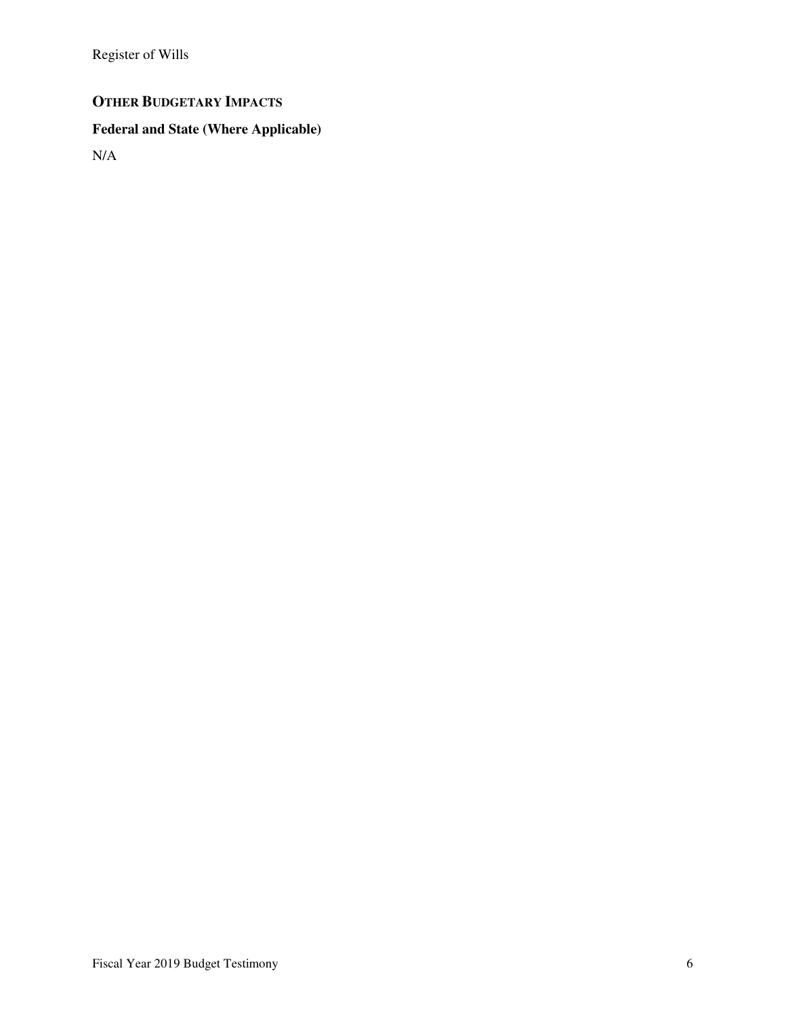Register of Wills

### **OTHER BUDGETARY IMPACTS**

# **Federal and State (Where Applicable)**

N/A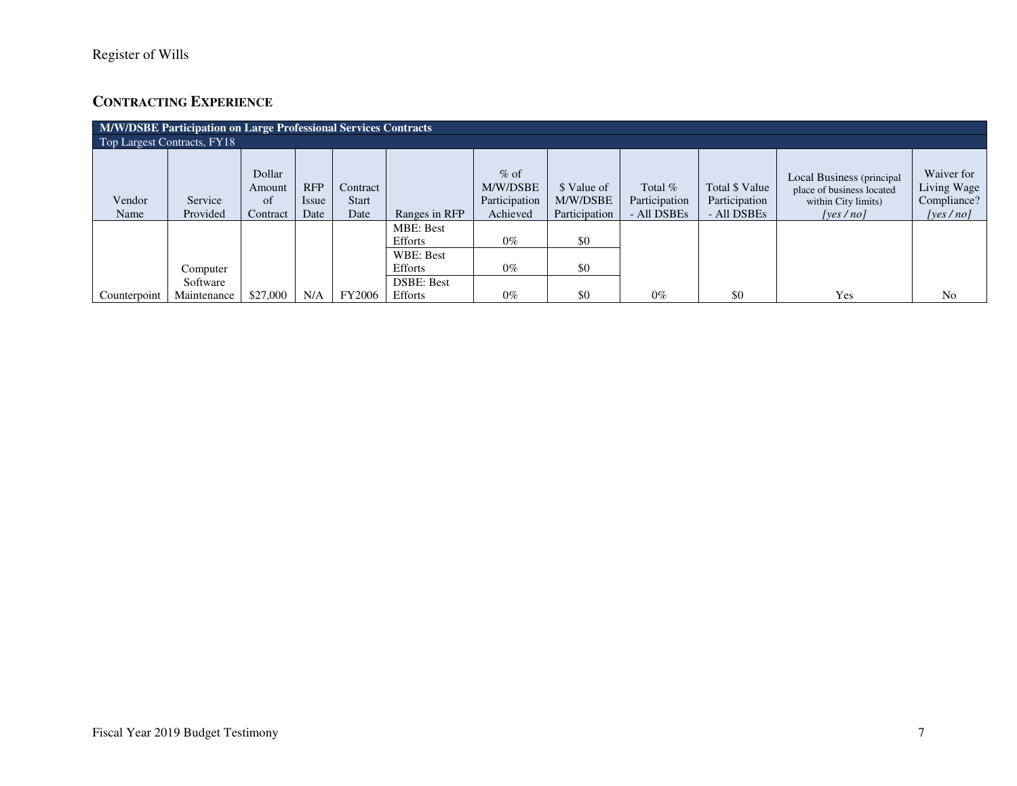### **CONTRACTING EXPERIENCE**

| M/W/DSBE Participation on Large Professional Services Contracts |                         |                                    |                             |                                  |                                                     |                                                 |                                          |                                         |                                                |                                                                                           |                                                      |
|-----------------------------------------------------------------|-------------------------|------------------------------------|-----------------------------|----------------------------------|-----------------------------------------------------|-------------------------------------------------|------------------------------------------|-----------------------------------------|------------------------------------------------|-------------------------------------------------------------------------------------------|------------------------------------------------------|
| Top Largest Contracts, FY18                                     |                         |                                    |                             |                                  |                                                     |                                                 |                                          |                                         |                                                |                                                                                           |                                                      |
| Vendor<br>Name                                                  | Service<br>Provided     | Dollar<br>Amount<br>of<br>Contract | <b>RFP</b><br>Issue<br>Date | Contract<br><b>Start</b><br>Date | Ranges in RFP                                       | $%$ of<br>M/W/DSBE<br>Participation<br>Achieved | \$ Value of<br>M/W/DSBE<br>Participation | Total %<br>Participation<br>- All DSBEs | Total \$ Value<br>Participation<br>- All DSBEs | Local Business (principal<br>place of business located<br>within City limits)<br>[yes/no] | Waiver for<br>Living Wage<br>Compliance?<br>[ves/no] |
|                                                                 | Computer                |                                    |                             |                                  | <b>MBE: Best</b><br>Efforts<br>WBE: Best<br>Efforts | $0\%$<br>$0\%$                                  | \$0<br>\$0                               |                                         |                                                |                                                                                           |                                                      |
| Counterpoint                                                    | Software<br>Maintenance | \$27,000                           | N/A                         | <b>FY2006</b>                    | <b>DSBE: Best</b><br>Efforts                        | $0\%$                                           | \$0                                      | $0\%$                                   | \$0                                            | Yes                                                                                       | N <sub>0</sub>                                       |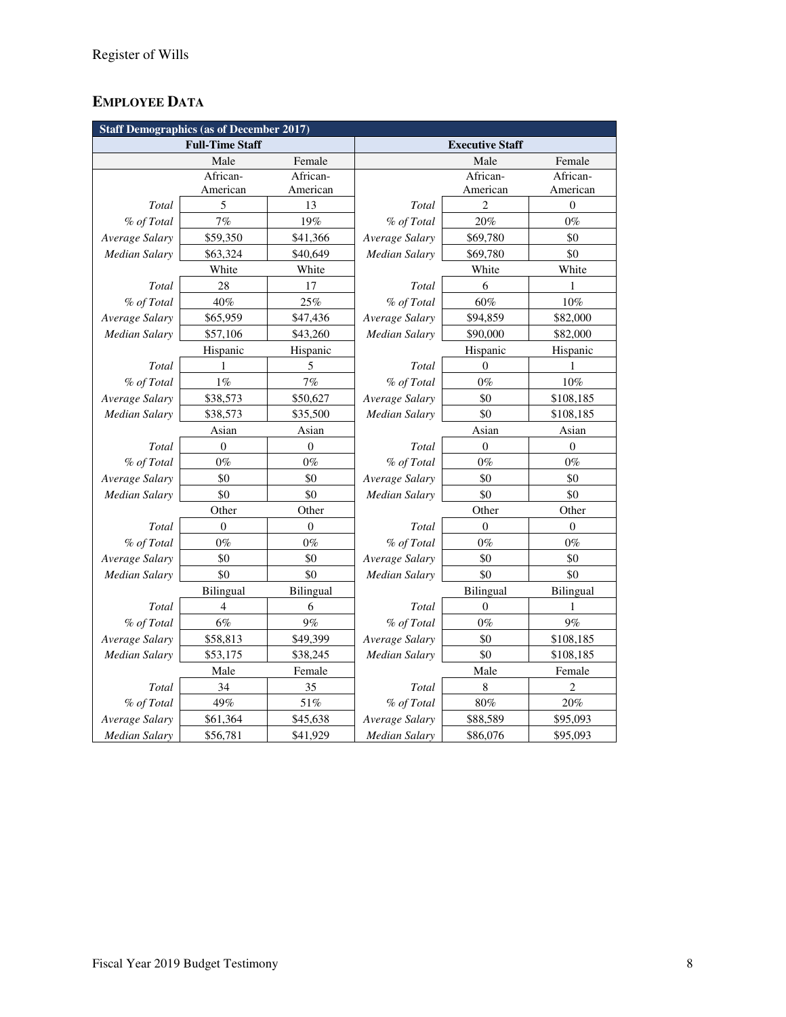### **EMPLOYEE DATA**

| <b>Staff Demographics (as of December 2017)</b> |                        |              |                        |                  |                  |  |  |  |
|-------------------------------------------------|------------------------|--------------|------------------------|------------------|------------------|--|--|--|
|                                                 | <b>Full-Time Staff</b> |              | <b>Executive Staff</b> |                  |                  |  |  |  |
|                                                 | Male                   | Female       |                        | Male             | Female           |  |  |  |
|                                                 | African-               | African-     |                        | African-         | African-         |  |  |  |
|                                                 | American               | American     |                        | American         | American         |  |  |  |
| <b>Total</b>                                    | 5                      | 13           | Total                  | $\overline{2}$   | $\boldsymbol{0}$ |  |  |  |
| % of Total                                      | 7%                     | 19%          | % of Total             | 20%              | $0\%$            |  |  |  |
| Average Salary                                  | \$59,350               | \$41,366     | Average Salary         | \$69,780         | \$0              |  |  |  |
| Median Salary                                   | \$63,324               | \$40,649     | Median Salary          | \$69,780         | \$0              |  |  |  |
|                                                 | White                  | White        |                        | White            | White            |  |  |  |
| Total                                           | 28                     | 17           | Total                  | 6                | 1                |  |  |  |
| % of Total                                      | 40%                    | 25%          | % of Total             | 60%              | 10%              |  |  |  |
| Average Salary                                  | \$65,959               | \$47,436     | Average Salary         | \$94,859         | \$82,000         |  |  |  |
| Median Salary                                   | \$57,106               | \$43,260     | Median Salary          | \$90,000         | \$82,000         |  |  |  |
|                                                 | Hispanic               | Hispanic     |                        | Hispanic         | Hispanic         |  |  |  |
| Total                                           | 1                      | 5            | Total                  | $\overline{0}$   | $\mathbf{1}$     |  |  |  |
| % of Total                                      | $1\%$                  | 7%           | % of Total             | $0\%$            | $10\%$           |  |  |  |
| Average Salary                                  | \$38,573               | \$50,627     | Average Salary         | \$0              | \$108,185        |  |  |  |
| <b>Median Salary</b>                            | \$38,573               | \$35,500     | Median Salary          | \$0              | \$108,185        |  |  |  |
|                                                 | Asian                  | Asian        |                        | Asian            |                  |  |  |  |
| Total                                           | $\overline{0}$         | $\mathbf{0}$ | Total                  | $\overline{0}$   | $\overline{0}$   |  |  |  |
| % of Total                                      | $0\%$                  | $0\%$        | % of Total             | $0\%$            | $0\%$            |  |  |  |
| Average Salary                                  | \$0                    | \$0          | Average Salary         | \$0              | \$0              |  |  |  |
| <b>Median Salary</b>                            | \$0                    | \$0          | Median Salary          | \$0              | \$0              |  |  |  |
|                                                 | Other                  | Other        |                        | Other            | Other            |  |  |  |
| Total                                           | $\theta$               | $\mathbf{0}$ | Total                  | $\overline{0}$   | $\overline{0}$   |  |  |  |
| % of Total                                      | $0\%$                  | $0\%$        | % of Total             | $0\%$            | $0\%$            |  |  |  |
| Average Salary                                  | \$0                    | \$0          | Average Salary         | \$0              | \$0              |  |  |  |
| Median Salary                                   | \$0                    | \$0          | Median Salary          | \$0              | \$0              |  |  |  |
|                                                 | Bilingual              | Bilingual    |                        | Bilingual        | Bilingual        |  |  |  |
| Total                                           | 4                      | 6            | Total                  | $\boldsymbol{0}$ | 1                |  |  |  |
| % of Total                                      | $6\%$                  | 9%           | % of Total             | $0\%$            | 9%               |  |  |  |
| Average Salary                                  | \$58,813               | \$49,399     | Average Salary         | \$0              | \$108,185        |  |  |  |
| <b>Median Salary</b>                            | \$53,175               | \$38,245     | Median Salary          | \$0              | \$108,185        |  |  |  |
|                                                 | Male                   | Female       | Male                   |                  | Female           |  |  |  |
| Total                                           | 34                     | 35           | Total                  | $\,$ 8 $\,$      | 2                |  |  |  |
| % of Total                                      | 49%                    | 51%          | % of Total             | $80\%$           | 20%              |  |  |  |
| Average Salary                                  | \$61,364               | \$45,638     | Average Salary         | \$88,589         | \$95,093         |  |  |  |
| <b>Median Salary</b>                            | \$56,781               | \$41,929     | <b>Median Salary</b>   | \$86,076         | \$95,093         |  |  |  |